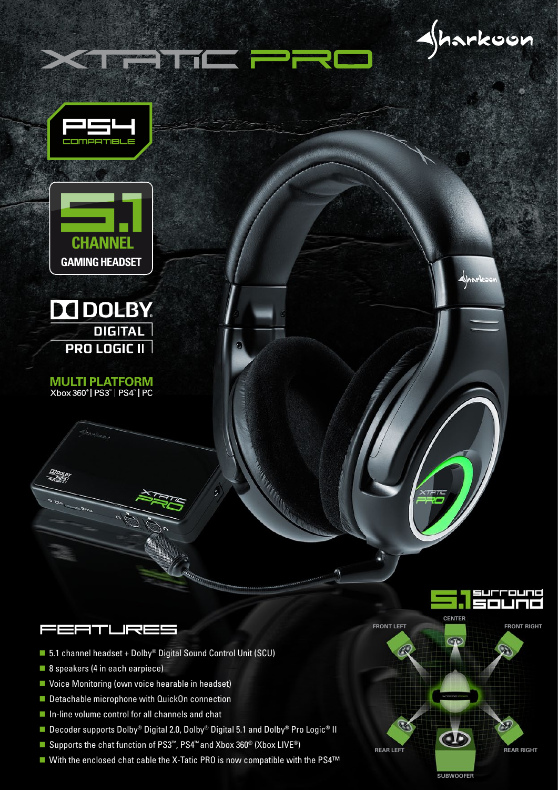









**MULTI PLATFORM** Xbox 360° | PS3" | PS4" | PC

**FEFTLREE** 

- 5.1 channel headset + Dolby<sup>®</sup> Digital Sound Control Unit (SCU)
- 8 speakers (4 in each earpiece)
- Voice Monitoring (own voice hearable in headset)
- Detachable microphone with QuickOn connection
- $\blacksquare$  In-line volume control for all channels and chat
- Decoder supports Dolby® Digital 2.0, Dolby® Digital 5.1 and Dolby® Pro Logic® II
- Supports the chat function of PS3<sup>™</sup>, PS4<sup>™</sup> and Xbox 360<sup>®</sup> (Xbox LIVE<sup>®</sup>)
- With the enclosed chat cable the X-Tatic PRO is now compatible with the PS4<sup>™</sup>